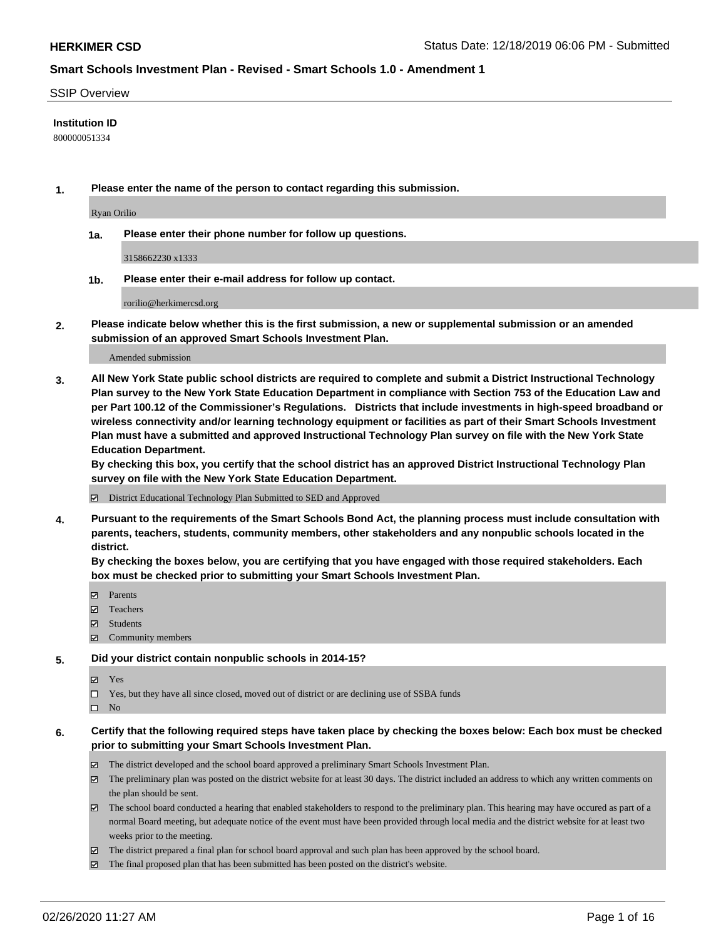#### SSIP Overview

#### **Institution ID**

800000051334

**1. Please enter the name of the person to contact regarding this submission.**

Ryan Orilio

**1a. Please enter their phone number for follow up questions.**

3158662230 x1333

**1b. Please enter their e-mail address for follow up contact.**

rorilio@herkimercsd.org

**2. Please indicate below whether this is the first submission, a new or supplemental submission or an amended submission of an approved Smart Schools Investment Plan.**

#### Amended submission

**3. All New York State public school districts are required to complete and submit a District Instructional Technology Plan survey to the New York State Education Department in compliance with Section 753 of the Education Law and per Part 100.12 of the Commissioner's Regulations. Districts that include investments in high-speed broadband or wireless connectivity and/or learning technology equipment or facilities as part of their Smart Schools Investment Plan must have a submitted and approved Instructional Technology Plan survey on file with the New York State Education Department.** 

**By checking this box, you certify that the school district has an approved District Instructional Technology Plan survey on file with the New York State Education Department.**

District Educational Technology Plan Submitted to SED and Approved

**4. Pursuant to the requirements of the Smart Schools Bond Act, the planning process must include consultation with parents, teachers, students, community members, other stakeholders and any nonpublic schools located in the district.** 

**By checking the boxes below, you are certifying that you have engaged with those required stakeholders. Each box must be checked prior to submitting your Smart Schools Investment Plan.**

- **マ** Parents
- Teachers
- Students
- Community members

#### **5. Did your district contain nonpublic schools in 2014-15?**

**冈** Yes

Yes, but they have all since closed, moved out of district or are declining use of SSBA funds

 $\square$  No

- **6. Certify that the following required steps have taken place by checking the boxes below: Each box must be checked prior to submitting your Smart Schools Investment Plan.**
	- The district developed and the school board approved a preliminary Smart Schools Investment Plan.
	- $\boxtimes$  The preliminary plan was posted on the district website for at least 30 days. The district included an address to which any written comments on the plan should be sent.
	- $\boxtimes$  The school board conducted a hearing that enabled stakeholders to respond to the preliminary plan. This hearing may have occured as part of a normal Board meeting, but adequate notice of the event must have been provided through local media and the district website for at least two weeks prior to the meeting.
	- The district prepared a final plan for school board approval and such plan has been approved by the school board.
	- The final proposed plan that has been submitted has been posted on the district's website.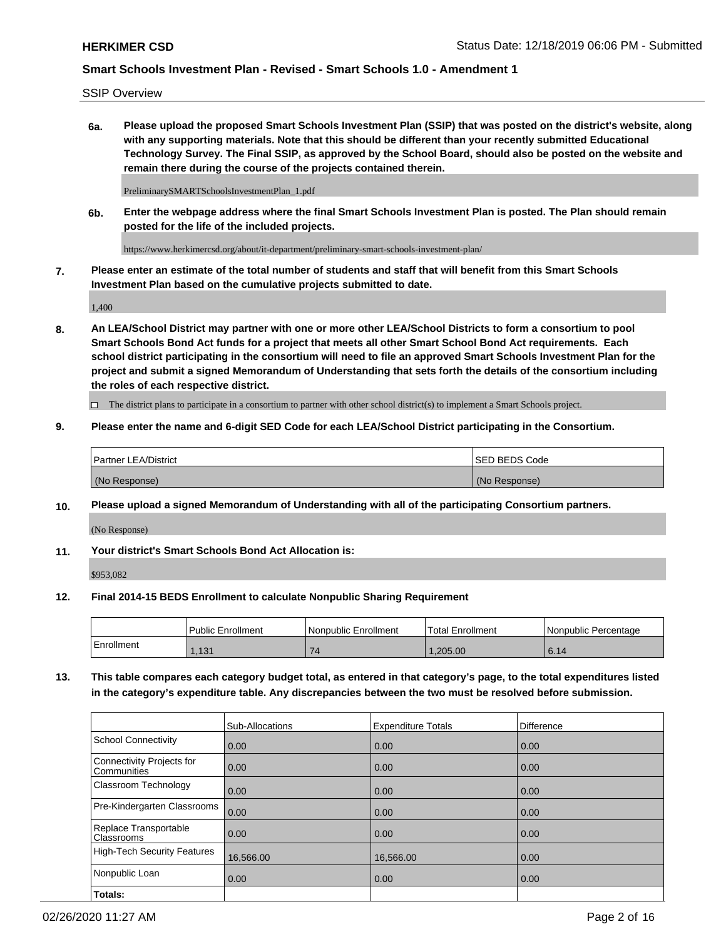SSIP Overview

**6a. Please upload the proposed Smart Schools Investment Plan (SSIP) that was posted on the district's website, along with any supporting materials. Note that this should be different than your recently submitted Educational Technology Survey. The Final SSIP, as approved by the School Board, should also be posted on the website and remain there during the course of the projects contained therein.**

PreliminarySMARTSchoolsInvestmentPlan\_1.pdf

**6b. Enter the webpage address where the final Smart Schools Investment Plan is posted. The Plan should remain posted for the life of the included projects.**

https://www.herkimercsd.org/about/it-department/preliminary-smart-schools-investment-plan/

**7. Please enter an estimate of the total number of students and staff that will benefit from this Smart Schools Investment Plan based on the cumulative projects submitted to date.**

1,400

**8. An LEA/School District may partner with one or more other LEA/School Districts to form a consortium to pool Smart Schools Bond Act funds for a project that meets all other Smart School Bond Act requirements. Each school district participating in the consortium will need to file an approved Smart Schools Investment Plan for the project and submit a signed Memorandum of Understanding that sets forth the details of the consortium including the roles of each respective district.**

 $\Box$  The district plans to participate in a consortium to partner with other school district(s) to implement a Smart Schools project.

### **9. Please enter the name and 6-digit SED Code for each LEA/School District participating in the Consortium.**

| Partner LEA/District | <b>ISED BEDS Code</b> |
|----------------------|-----------------------|
| (No Response)        | (No Response)         |

### **10. Please upload a signed Memorandum of Understanding with all of the participating Consortium partners.**

(No Response)

**11. Your district's Smart Schools Bond Act Allocation is:**

\$953,082

#### **12. Final 2014-15 BEDS Enrollment to calculate Nonpublic Sharing Requirement**

|            | Public Enrollment | Nonpublic Enrollment | Total Enrollment | l Nonpublic Percentage |
|------------|-------------------|----------------------|------------------|------------------------|
| Enrollment | 121<br>.          | -                    | .205.00          | 6.14                   |

**13. This table compares each category budget total, as entered in that category's page, to the total expenditures listed in the category's expenditure table. Any discrepancies between the two must be resolved before submission.**

|                                                 | Sub-Allocations | <b>Expenditure Totals</b> | Difference |
|-------------------------------------------------|-----------------|---------------------------|------------|
| <b>School Connectivity</b>                      | 0.00            | 0.00                      | 0.00       |
| <b>Connectivity Projects for</b><br>Communities | 0.00            | 0.00                      | 0.00       |
| Classroom Technology                            | 0.00            | 0.00                      | 0.00       |
| Pre-Kindergarten Classrooms                     | 0.00            | 0.00                      | 0.00       |
| Replace Transportable<br>Classrooms             | 0.00            | 0.00                      | 0.00       |
| <b>High-Tech Security Features</b>              | 16,566.00       | 16,566.00                 | 0.00       |
| Nonpublic Loan                                  | 0.00            | 0.00                      | 0.00       |
| Totals:                                         |                 |                           |            |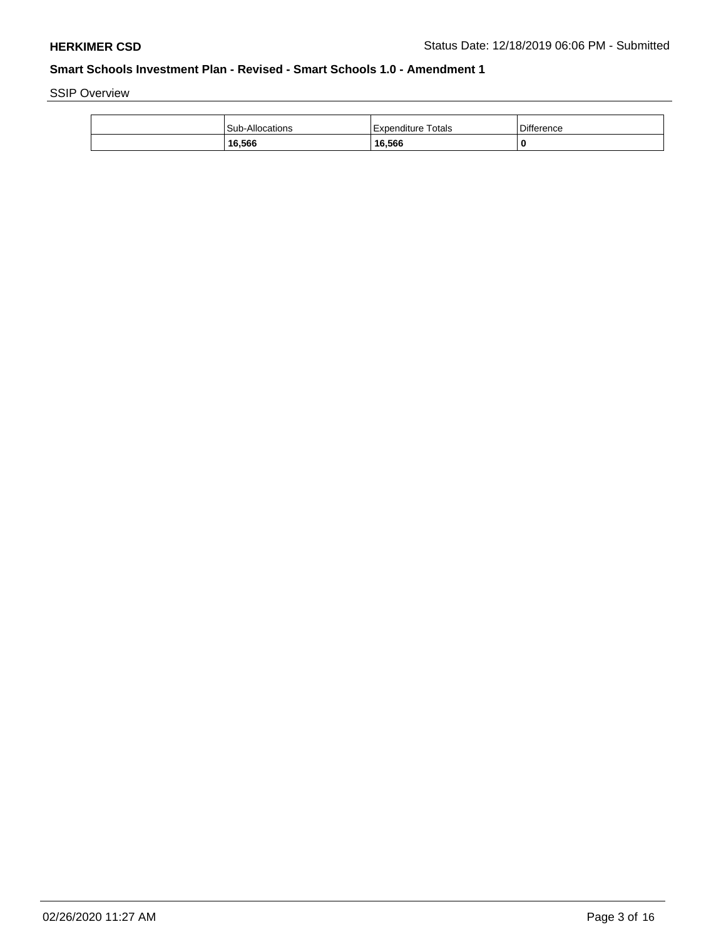SSIP Overview

| <b>Sub-Allocations</b> | Expenditure Totals | <b>Difference</b> |
|------------------------|--------------------|-------------------|
| 16,566                 | 16,566             | 0                 |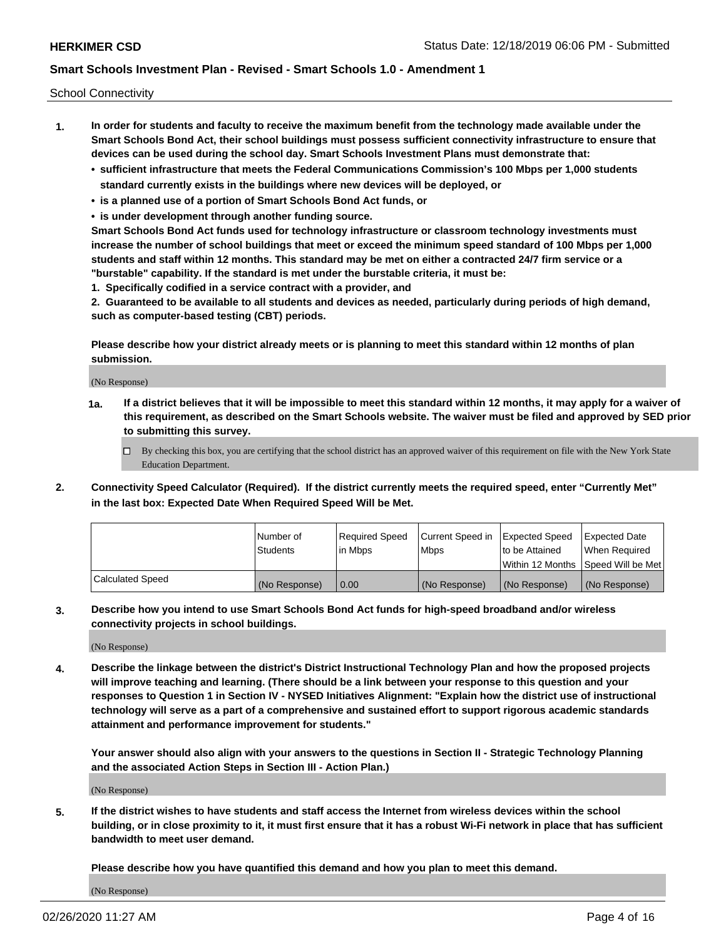School Connectivity

- **1. In order for students and faculty to receive the maximum benefit from the technology made available under the Smart Schools Bond Act, their school buildings must possess sufficient connectivity infrastructure to ensure that devices can be used during the school day. Smart Schools Investment Plans must demonstrate that:**
	- **• sufficient infrastructure that meets the Federal Communications Commission's 100 Mbps per 1,000 students standard currently exists in the buildings where new devices will be deployed, or**
	- **• is a planned use of a portion of Smart Schools Bond Act funds, or**
	- **• is under development through another funding source.**

**Smart Schools Bond Act funds used for technology infrastructure or classroom technology investments must increase the number of school buildings that meet or exceed the minimum speed standard of 100 Mbps per 1,000 students and staff within 12 months. This standard may be met on either a contracted 24/7 firm service or a "burstable" capability. If the standard is met under the burstable criteria, it must be:**

**1. Specifically codified in a service contract with a provider, and**

**2. Guaranteed to be available to all students and devices as needed, particularly during periods of high demand, such as computer-based testing (CBT) periods.**

**Please describe how your district already meets or is planning to meet this standard within 12 months of plan submission.**

(No Response)

**1a. If a district believes that it will be impossible to meet this standard within 12 months, it may apply for a waiver of this requirement, as described on the Smart Schools website. The waiver must be filed and approved by SED prior to submitting this survey.**

 $\Box$  By checking this box, you are certifying that the school district has an approved waiver of this requirement on file with the New York State Education Department.

**2. Connectivity Speed Calculator (Required). If the district currently meets the required speed, enter "Currently Met" in the last box: Expected Date When Required Speed Will be Met.**

|                  | l Number of     | Required Speed | Current Speed in | Expected Speed  | Expected Date                           |
|------------------|-----------------|----------------|------------------|-----------------|-----------------------------------------|
|                  | <b>Students</b> | In Mbps        | l Mbps           | to be Attained  | When Required                           |
|                  |                 |                |                  |                 | l Within 12 Months ISpeed Will be Met l |
| Calculated Speed | (No Response)   | 0.00           | (No Response)    | l (No Response) | l (No Response)                         |

**3. Describe how you intend to use Smart Schools Bond Act funds for high-speed broadband and/or wireless connectivity projects in school buildings.**

(No Response)

**4. Describe the linkage between the district's District Instructional Technology Plan and how the proposed projects will improve teaching and learning. (There should be a link between your response to this question and your responses to Question 1 in Section IV - NYSED Initiatives Alignment: "Explain how the district use of instructional technology will serve as a part of a comprehensive and sustained effort to support rigorous academic standards attainment and performance improvement for students."** 

**Your answer should also align with your answers to the questions in Section II - Strategic Technology Planning and the associated Action Steps in Section III - Action Plan.)**

(No Response)

**5. If the district wishes to have students and staff access the Internet from wireless devices within the school building, or in close proximity to it, it must first ensure that it has a robust Wi-Fi network in place that has sufficient bandwidth to meet user demand.**

**Please describe how you have quantified this demand and how you plan to meet this demand.**

(No Response)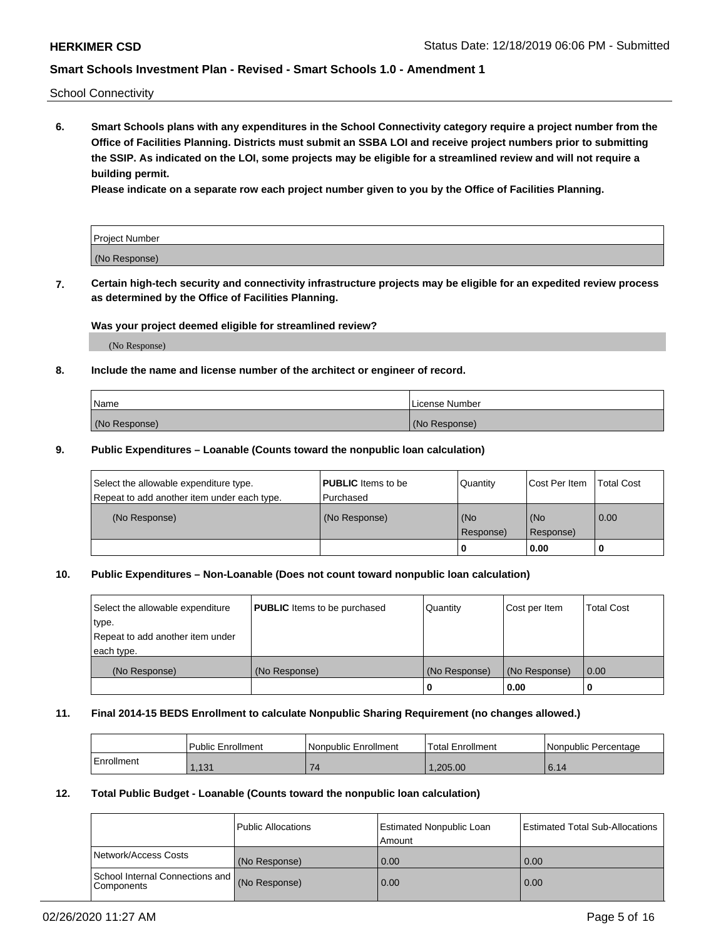School Connectivity

**6. Smart Schools plans with any expenditures in the School Connectivity category require a project number from the Office of Facilities Planning. Districts must submit an SSBA LOI and receive project numbers prior to submitting the SSIP. As indicated on the LOI, some projects may be eligible for a streamlined review and will not require a building permit.**

**Please indicate on a separate row each project number given to you by the Office of Facilities Planning.**

| Project Number |  |
|----------------|--|
| (No Response)  |  |

**7. Certain high-tech security and connectivity infrastructure projects may be eligible for an expedited review process as determined by the Office of Facilities Planning.**

### **Was your project deemed eligible for streamlined review?**

(No Response)

### **8. Include the name and license number of the architect or engineer of record.**

| Name          | License Number |
|---------------|----------------|
| (No Response) | (No Response)  |

#### **9. Public Expenditures – Loanable (Counts toward the nonpublic loan calculation)**

| Select the allowable expenditure type.<br>Repeat to add another item under each type. | <b>PUBLIC</b> Items to be<br>l Purchased | Quantity         | l Cost Per Item  | <b>Total Cost</b> |
|---------------------------------------------------------------------------------------|------------------------------------------|------------------|------------------|-------------------|
| (No Response)                                                                         | (No Response)                            | (No<br>Response) | (No<br>Response) | 0.00              |
|                                                                                       |                                          | 0                | 0.00             |                   |

# **10. Public Expenditures – Non-Loanable (Does not count toward nonpublic loan calculation)**

| Select the allowable expenditure<br>type.      | <b>PUBLIC</b> Items to be purchased | Quantity      | Cost per Item | <b>Total Cost</b> |
|------------------------------------------------|-------------------------------------|---------------|---------------|-------------------|
| Repeat to add another item under<br>each type. |                                     |               |               |                   |
| (No Response)                                  | (No Response)                       | (No Response) | (No Response) | 0.00              |
|                                                |                                     |               | 0.00          |                   |

#### **11. Final 2014-15 BEDS Enrollment to calculate Nonpublic Sharing Requirement (no changes allowed.)**

|            | Public Enrollment | Nonpublic Enrollment | 'Total Enrollment | l Nonpublic Percentage |
|------------|-------------------|----------------------|-------------------|------------------------|
| Enrollment | .131              |                      | .205.00           | 6.14                   |

### **12. Total Public Budget - Loanable (Counts toward the nonpublic loan calculation)**

|                                               | Public Allocations | <b>Estimated Nonpublic Loan</b><br>Amount | Estimated Total Sub-Allocations |
|-----------------------------------------------|--------------------|-------------------------------------------|---------------------------------|
| Network/Access Costs                          | (No Response)      | 0.00                                      | 0.00                            |
| School Internal Connections and<br>Components | (No Response)      | 0.00                                      | 0.00                            |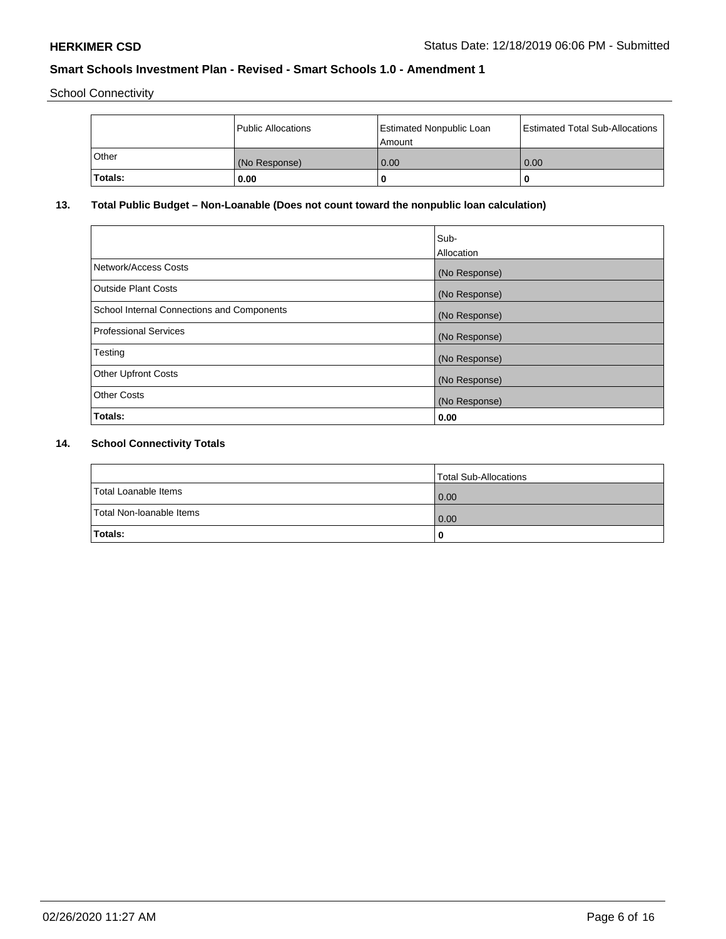School Connectivity

|              | Public Allocations | <b>Estimated Nonpublic Loan</b><br>Amount | <b>Estimated Total Sub-Allocations</b> |
|--------------|--------------------|-------------------------------------------|----------------------------------------|
| <b>Other</b> | (No Response)      | 0.00                                      | 0.00                                   |
| Totals:      | 0.00               |                                           | 0                                      |

# **13. Total Public Budget – Non-Loanable (Does not count toward the nonpublic loan calculation)**

|                                                   | Sub-<br>Allocation |
|---------------------------------------------------|--------------------|
| Network/Access Costs                              | (No Response)      |
| Outside Plant Costs                               | (No Response)      |
| <b>School Internal Connections and Components</b> | (No Response)      |
| <b>Professional Services</b>                      | (No Response)      |
| Testing                                           | (No Response)      |
| <b>Other Upfront Costs</b>                        | (No Response)      |
| <b>Other Costs</b>                                | (No Response)      |
| Totals:                                           | 0.00               |

# **14. School Connectivity Totals**

|                          | Total Sub-Allocations |
|--------------------------|-----------------------|
| Total Loanable Items     | 0.00                  |
| Total Non-Ioanable Items | 0.00                  |
| Totals:                  | 0                     |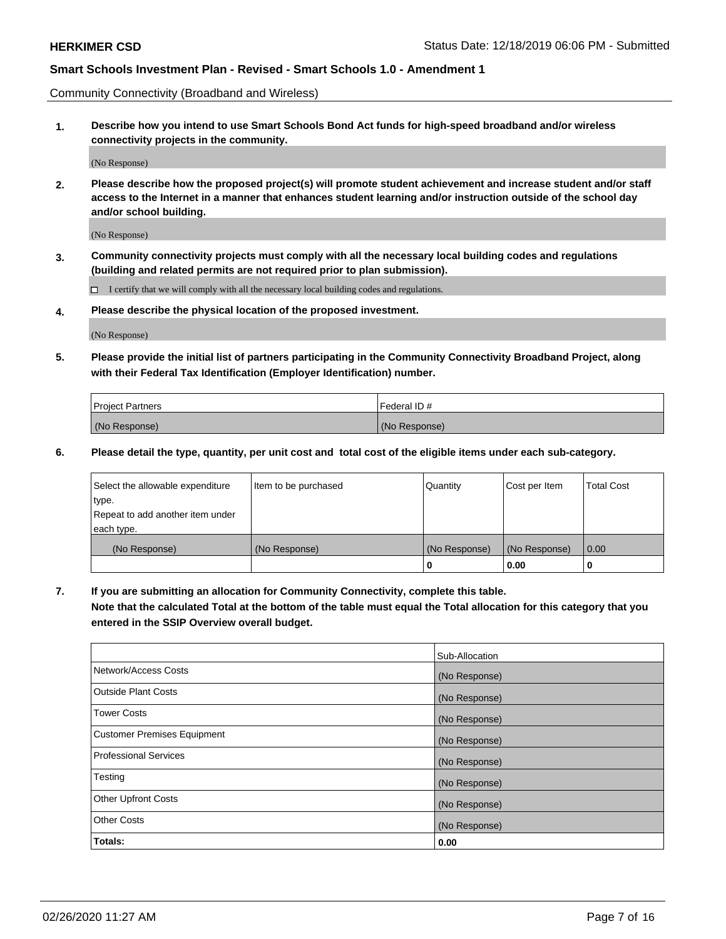Community Connectivity (Broadband and Wireless)

**1. Describe how you intend to use Smart Schools Bond Act funds for high-speed broadband and/or wireless connectivity projects in the community.**

(No Response)

**2. Please describe how the proposed project(s) will promote student achievement and increase student and/or staff access to the Internet in a manner that enhances student learning and/or instruction outside of the school day and/or school building.**

(No Response)

**3. Community connectivity projects must comply with all the necessary local building codes and regulations (building and related permits are not required prior to plan submission).**

 $\Box$  I certify that we will comply with all the necessary local building codes and regulations.

**4. Please describe the physical location of the proposed investment.**

(No Response)

**5. Please provide the initial list of partners participating in the Community Connectivity Broadband Project, along with their Federal Tax Identification (Employer Identification) number.**

| <b>Project Partners</b> | l Federal ID # |
|-------------------------|----------------|
| (No Response)           | (No Response)  |

**6. Please detail the type, quantity, per unit cost and total cost of the eligible items under each sub-category.**

| Select the allowable expenditure | Item to be purchased | Quantity      | Cost per Item | <b>Total Cost</b> |
|----------------------------------|----------------------|---------------|---------------|-------------------|
| type.                            |                      |               |               |                   |
| Repeat to add another item under |                      |               |               |                   |
| each type.                       |                      |               |               |                   |
| (No Response)                    | (No Response)        | (No Response) | (No Response) | 0.00              |
|                                  |                      | o             | 0.00          |                   |

**7. If you are submitting an allocation for Community Connectivity, complete this table.**

**Note that the calculated Total at the bottom of the table must equal the Total allocation for this category that you entered in the SSIP Overview overall budget.**

|                                    | Sub-Allocation |
|------------------------------------|----------------|
| Network/Access Costs               | (No Response)  |
| Outside Plant Costs                | (No Response)  |
| <b>Tower Costs</b>                 | (No Response)  |
| <b>Customer Premises Equipment</b> | (No Response)  |
| <b>Professional Services</b>       | (No Response)  |
| Testing                            | (No Response)  |
| <b>Other Upfront Costs</b>         | (No Response)  |
| <b>Other Costs</b>                 | (No Response)  |
| Totals:                            | 0.00           |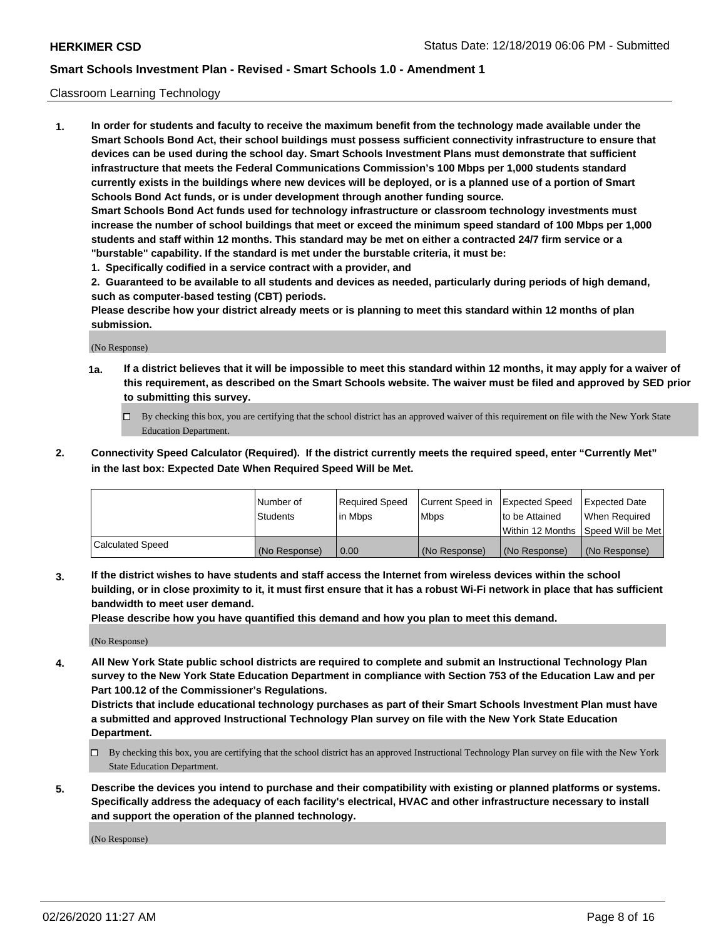#### Classroom Learning Technology

**1. In order for students and faculty to receive the maximum benefit from the technology made available under the Smart Schools Bond Act, their school buildings must possess sufficient connectivity infrastructure to ensure that devices can be used during the school day. Smart Schools Investment Plans must demonstrate that sufficient infrastructure that meets the Federal Communications Commission's 100 Mbps per 1,000 students standard currently exists in the buildings where new devices will be deployed, or is a planned use of a portion of Smart Schools Bond Act funds, or is under development through another funding source. Smart Schools Bond Act funds used for technology infrastructure or classroom technology investments must increase the number of school buildings that meet or exceed the minimum speed standard of 100 Mbps per 1,000 students and staff within 12 months. This standard may be met on either a contracted 24/7 firm service or a**

- **"burstable" capability. If the standard is met under the burstable criteria, it must be:**
- **1. Specifically codified in a service contract with a provider, and**

**2. Guaranteed to be available to all students and devices as needed, particularly during periods of high demand, such as computer-based testing (CBT) periods.**

**Please describe how your district already meets or is planning to meet this standard within 12 months of plan submission.**

(No Response)

- **1a. If a district believes that it will be impossible to meet this standard within 12 months, it may apply for a waiver of this requirement, as described on the Smart Schools website. The waiver must be filed and approved by SED prior to submitting this survey.**
	- By checking this box, you are certifying that the school district has an approved waiver of this requirement on file with the New York State Education Department.
- **2. Connectivity Speed Calculator (Required). If the district currently meets the required speed, enter "Currently Met" in the last box: Expected Date When Required Speed Will be Met.**

|                         | l Number of<br><b>Students</b> | Required Speed<br>l in Mbps | Current Speed in<br>l Mbps | Expected Speed<br>to be Attained | <b>Expected Date</b><br>When Required |
|-------------------------|--------------------------------|-----------------------------|----------------------------|----------------------------------|---------------------------------------|
|                         |                                |                             |                            |                                  | Within 12 Months  Speed Will be Met   |
| <b>Calculated Speed</b> | (No Response)                  | 0.00                        | (No Response)              | (No Response)                    | (No Response)                         |

**3. If the district wishes to have students and staff access the Internet from wireless devices within the school building, or in close proximity to it, it must first ensure that it has a robust Wi-Fi network in place that has sufficient bandwidth to meet user demand.**

**Please describe how you have quantified this demand and how you plan to meet this demand.**

(No Response)

**4. All New York State public school districts are required to complete and submit an Instructional Technology Plan survey to the New York State Education Department in compliance with Section 753 of the Education Law and per Part 100.12 of the Commissioner's Regulations.**

**Districts that include educational technology purchases as part of their Smart Schools Investment Plan must have a submitted and approved Instructional Technology Plan survey on file with the New York State Education Department.**

- By checking this box, you are certifying that the school district has an approved Instructional Technology Plan survey on file with the New York State Education Department.
- **5. Describe the devices you intend to purchase and their compatibility with existing or planned platforms or systems. Specifically address the adequacy of each facility's electrical, HVAC and other infrastructure necessary to install and support the operation of the planned technology.**

(No Response)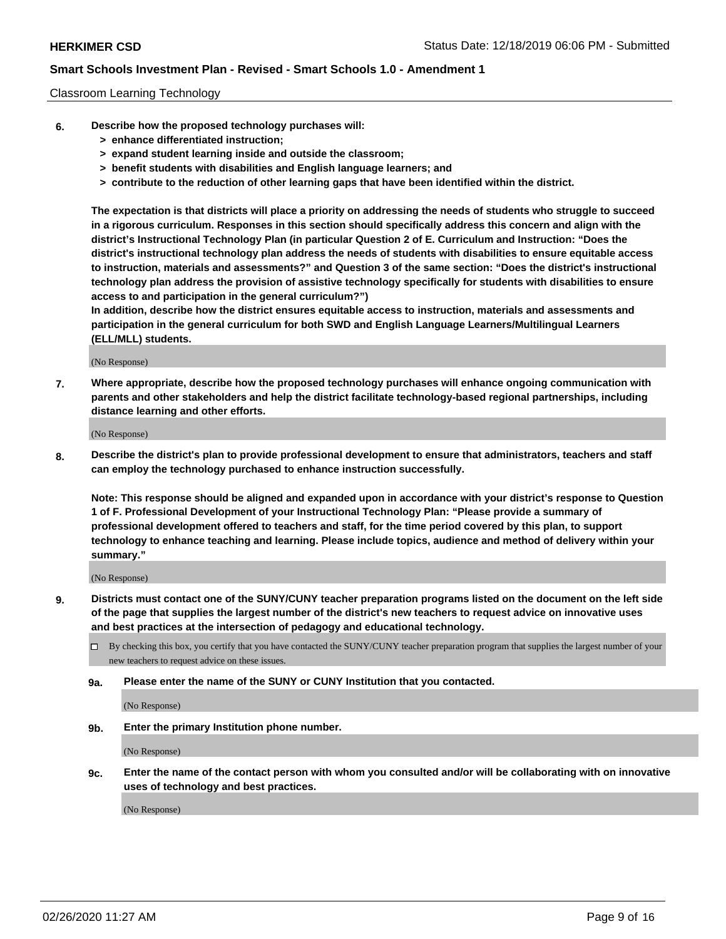#### Classroom Learning Technology

- **6. Describe how the proposed technology purchases will:**
	- **> enhance differentiated instruction;**
	- **> expand student learning inside and outside the classroom;**
	- **> benefit students with disabilities and English language learners; and**
	- **> contribute to the reduction of other learning gaps that have been identified within the district.**

**The expectation is that districts will place a priority on addressing the needs of students who struggle to succeed in a rigorous curriculum. Responses in this section should specifically address this concern and align with the district's Instructional Technology Plan (in particular Question 2 of E. Curriculum and Instruction: "Does the district's instructional technology plan address the needs of students with disabilities to ensure equitable access to instruction, materials and assessments?" and Question 3 of the same section: "Does the district's instructional technology plan address the provision of assistive technology specifically for students with disabilities to ensure access to and participation in the general curriculum?")**

**In addition, describe how the district ensures equitable access to instruction, materials and assessments and participation in the general curriculum for both SWD and English Language Learners/Multilingual Learners (ELL/MLL) students.**

(No Response)

**7. Where appropriate, describe how the proposed technology purchases will enhance ongoing communication with parents and other stakeholders and help the district facilitate technology-based regional partnerships, including distance learning and other efforts.**

(No Response)

**8. Describe the district's plan to provide professional development to ensure that administrators, teachers and staff can employ the technology purchased to enhance instruction successfully.**

**Note: This response should be aligned and expanded upon in accordance with your district's response to Question 1 of F. Professional Development of your Instructional Technology Plan: "Please provide a summary of professional development offered to teachers and staff, for the time period covered by this plan, to support technology to enhance teaching and learning. Please include topics, audience and method of delivery within your summary."**

(No Response)

- **9. Districts must contact one of the SUNY/CUNY teacher preparation programs listed on the document on the left side of the page that supplies the largest number of the district's new teachers to request advice on innovative uses and best practices at the intersection of pedagogy and educational technology.**
	- By checking this box, you certify that you have contacted the SUNY/CUNY teacher preparation program that supplies the largest number of your new teachers to request advice on these issues.
	- **9a. Please enter the name of the SUNY or CUNY Institution that you contacted.**

(No Response)

**9b. Enter the primary Institution phone number.**

(No Response)

**9c. Enter the name of the contact person with whom you consulted and/or will be collaborating with on innovative uses of technology and best practices.**

(No Response)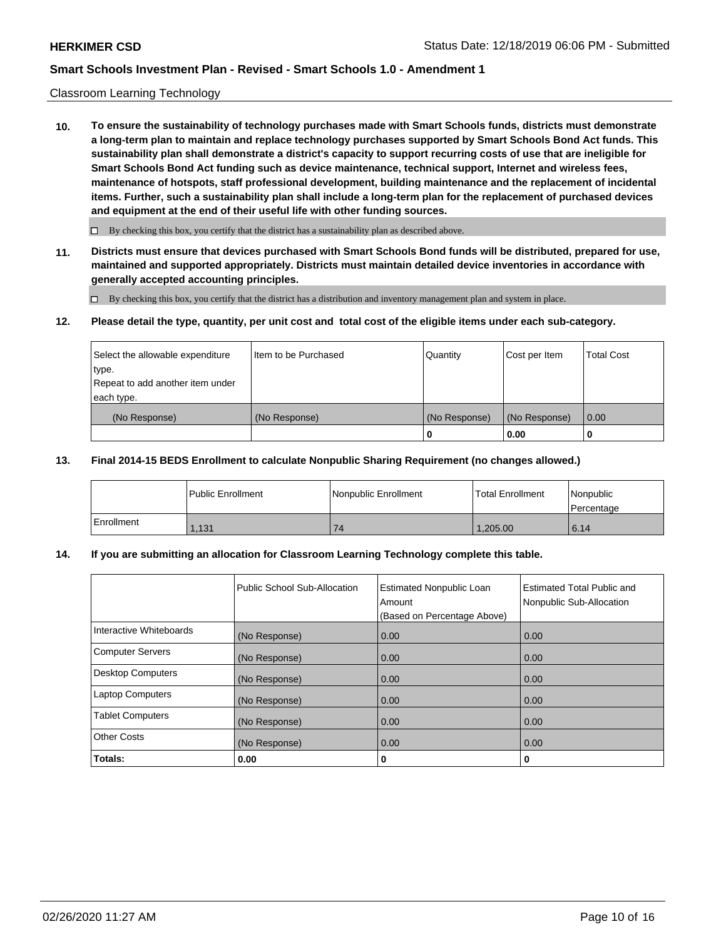#### Classroom Learning Technology

**10. To ensure the sustainability of technology purchases made with Smart Schools funds, districts must demonstrate a long-term plan to maintain and replace technology purchases supported by Smart Schools Bond Act funds. This sustainability plan shall demonstrate a district's capacity to support recurring costs of use that are ineligible for Smart Schools Bond Act funding such as device maintenance, technical support, Internet and wireless fees, maintenance of hotspots, staff professional development, building maintenance and the replacement of incidental items. Further, such a sustainability plan shall include a long-term plan for the replacement of purchased devices and equipment at the end of their useful life with other funding sources.**

 $\Box$  By checking this box, you certify that the district has a sustainability plan as described above.

**11. Districts must ensure that devices purchased with Smart Schools Bond funds will be distributed, prepared for use, maintained and supported appropriately. Districts must maintain detailed device inventories in accordance with generally accepted accounting principles.**

By checking this box, you certify that the district has a distribution and inventory management plan and system in place.

#### **12. Please detail the type, quantity, per unit cost and total cost of the eligible items under each sub-category.**

| Select the allowable expenditure<br>type.<br>Repeat to add another item under | Item to be Purchased | Quantity      | Cost per Item | <b>Total Cost</b> |
|-------------------------------------------------------------------------------|----------------------|---------------|---------------|-------------------|
| each type.<br>(No Response)                                                   | (No Response)        | (No Response) | (No Response) | 0.00              |
|                                                                               |                      | 0             | 0.00          |                   |

#### **13. Final 2014-15 BEDS Enrollment to calculate Nonpublic Sharing Requirement (no changes allowed.)**

|            | l Public Enrollment | <b>INonpublic Enrollment</b> | <b>Total Enrollment</b> | Nonpublic<br>l Percentage |
|------------|---------------------|------------------------------|-------------------------|---------------------------|
| Enrollment | 1,131               | 74                           | 1.205.00                | 6.14                      |

### **14. If you are submitting an allocation for Classroom Learning Technology complete this table.**

|                         | Public School Sub-Allocation | <b>Estimated Nonpublic Loan</b><br>Amount<br>(Based on Percentage Above) | Estimated Total Public and<br>Nonpublic Sub-Allocation |
|-------------------------|------------------------------|--------------------------------------------------------------------------|--------------------------------------------------------|
| Interactive Whiteboards | (No Response)                | 0.00                                                                     | 0.00                                                   |
| Computer Servers        | (No Response)                | 0.00                                                                     | 0.00                                                   |
| Desktop Computers       | (No Response)                | 0.00                                                                     | 0.00                                                   |
| <b>Laptop Computers</b> | (No Response)                | 0.00                                                                     | 0.00                                                   |
| <b>Tablet Computers</b> | (No Response)                | 0.00                                                                     | 0.00                                                   |
| Other Costs             | (No Response)                | 0.00                                                                     | 0.00                                                   |
| Totals:                 | 0.00                         | 0                                                                        | 0                                                      |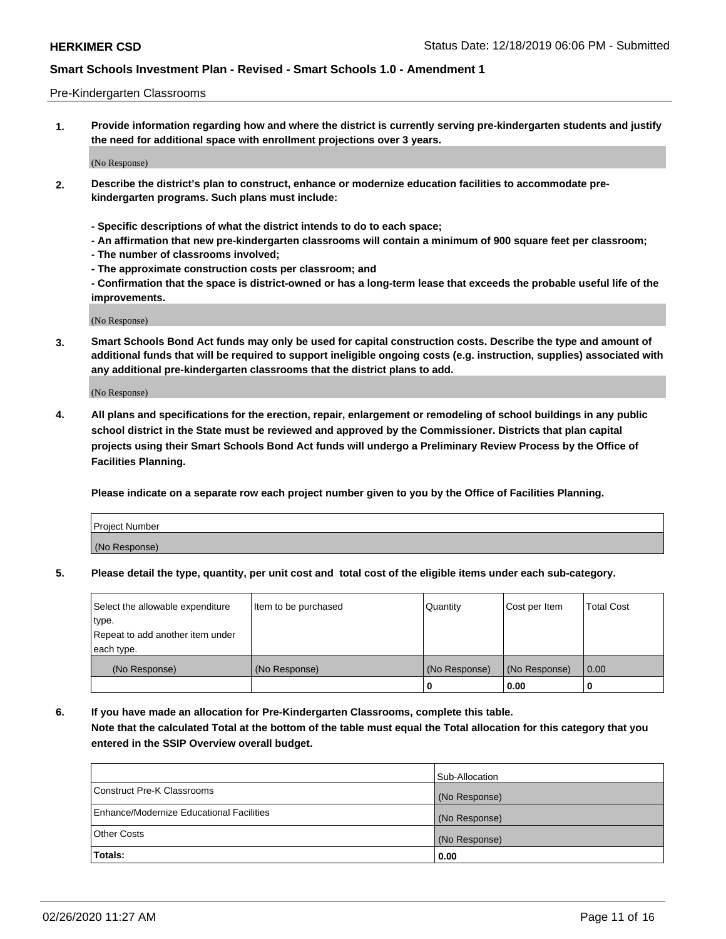#### Pre-Kindergarten Classrooms

**1. Provide information regarding how and where the district is currently serving pre-kindergarten students and justify the need for additional space with enrollment projections over 3 years.**

(No Response)

- **2. Describe the district's plan to construct, enhance or modernize education facilities to accommodate prekindergarten programs. Such plans must include:**
	- **Specific descriptions of what the district intends to do to each space;**
	- **An affirmation that new pre-kindergarten classrooms will contain a minimum of 900 square feet per classroom;**
	- **The number of classrooms involved;**
	- **The approximate construction costs per classroom; and**
	- **Confirmation that the space is district-owned or has a long-term lease that exceeds the probable useful life of the improvements.**

(No Response)

**3. Smart Schools Bond Act funds may only be used for capital construction costs. Describe the type and amount of additional funds that will be required to support ineligible ongoing costs (e.g. instruction, supplies) associated with any additional pre-kindergarten classrooms that the district plans to add.**

(No Response)

**4. All plans and specifications for the erection, repair, enlargement or remodeling of school buildings in any public school district in the State must be reviewed and approved by the Commissioner. Districts that plan capital projects using their Smart Schools Bond Act funds will undergo a Preliminary Review Process by the Office of Facilities Planning.**

**Please indicate on a separate row each project number given to you by the Office of Facilities Planning.**

| Project Number |  |
|----------------|--|
| (No Response)  |  |
|                |  |

**5. Please detail the type, quantity, per unit cost and total cost of the eligible items under each sub-category.**

| Select the allowable expenditure | Item to be purchased | Quantity      | Cost per Item | <b>Total Cost</b> |
|----------------------------------|----------------------|---------------|---------------|-------------------|
| type.                            |                      |               |               |                   |
| Repeat to add another item under |                      |               |               |                   |
| each type.                       |                      |               |               |                   |
| (No Response)                    | (No Response)        | (No Response) | (No Response) | 0.00              |
|                                  |                      | U             | 0.00          |                   |

**6. If you have made an allocation for Pre-Kindergarten Classrooms, complete this table. Note that the calculated Total at the bottom of the table must equal the Total allocation for this category that you entered in the SSIP Overview overall budget.**

|                                          | Sub-Allocation |
|------------------------------------------|----------------|
| Construct Pre-K Classrooms               | (No Response)  |
| Enhance/Modernize Educational Facilities | (No Response)  |
| <b>Other Costs</b>                       | (No Response)  |
| Totals:                                  | 0.00           |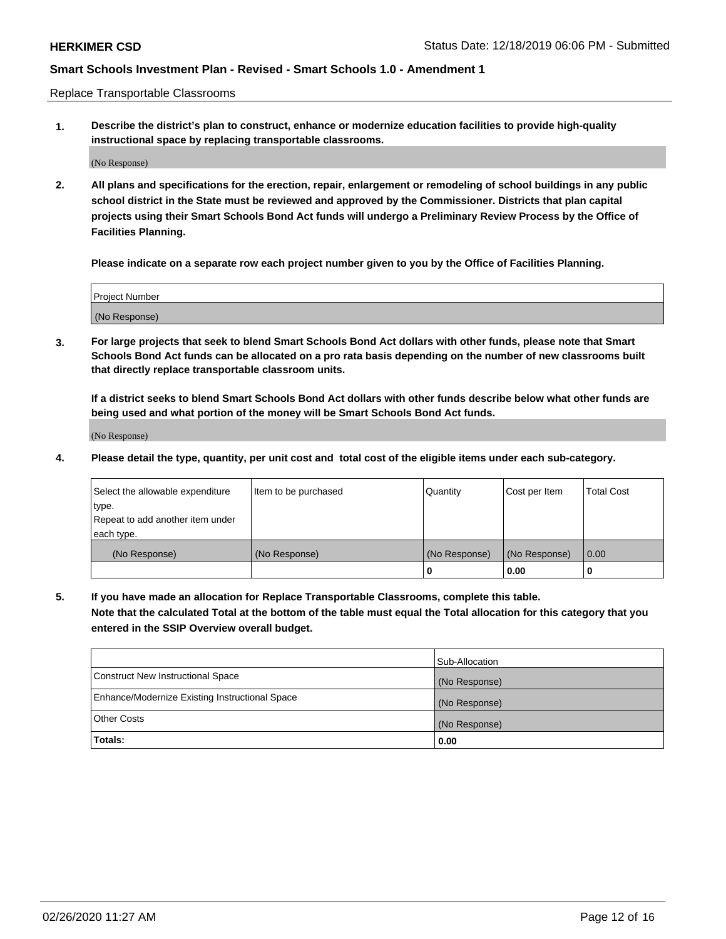Replace Transportable Classrooms

**1. Describe the district's plan to construct, enhance or modernize education facilities to provide high-quality instructional space by replacing transportable classrooms.**

(No Response)

**2. All plans and specifications for the erection, repair, enlargement or remodeling of school buildings in any public school district in the State must be reviewed and approved by the Commissioner. Districts that plan capital projects using their Smart Schools Bond Act funds will undergo a Preliminary Review Process by the Office of Facilities Planning.**

**Please indicate on a separate row each project number given to you by the Office of Facilities Planning.**

| Project Number |  |
|----------------|--|
|                |  |
|                |  |
|                |  |
| (No Response)  |  |
|                |  |
|                |  |

**3. For large projects that seek to blend Smart Schools Bond Act dollars with other funds, please note that Smart Schools Bond Act funds can be allocated on a pro rata basis depending on the number of new classrooms built that directly replace transportable classroom units.**

**If a district seeks to blend Smart Schools Bond Act dollars with other funds describe below what other funds are being used and what portion of the money will be Smart Schools Bond Act funds.**

(No Response)

**4. Please detail the type, quantity, per unit cost and total cost of the eligible items under each sub-category.**

| Select the allowable expenditure           | Item to be purchased | Quantity      | Cost per Item | <b>Total Cost</b> |
|--------------------------------------------|----------------------|---------------|---------------|-------------------|
| ∣type.<br>Repeat to add another item under |                      |               |               |                   |
| each type.                                 |                      |               |               |                   |
| (No Response)                              | (No Response)        | (No Response) | (No Response) | 0.00              |
|                                            |                      | 0             | 0.00          |                   |

**5. If you have made an allocation for Replace Transportable Classrooms, complete this table. Note that the calculated Total at the bottom of the table must equal the Total allocation for this category that you entered in the SSIP Overview overall budget.**

|                                                | Sub-Allocation |
|------------------------------------------------|----------------|
| Construct New Instructional Space              | (No Response)  |
| Enhance/Modernize Existing Instructional Space | (No Response)  |
| <b>Other Costs</b>                             | (No Response)  |
| Totals:                                        | 0.00           |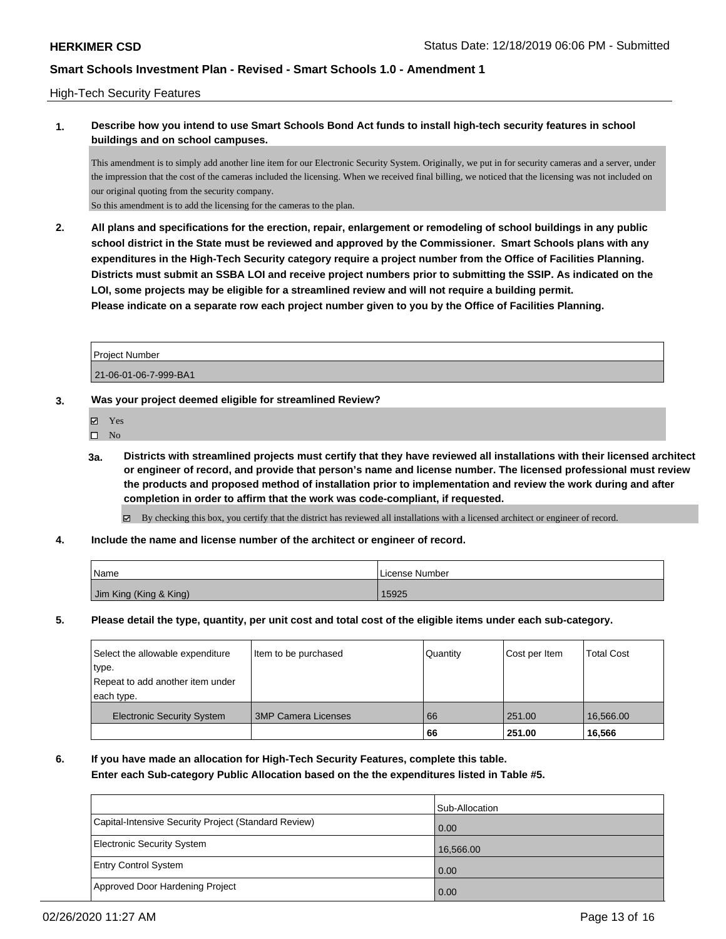### High-Tech Security Features

# **1. Describe how you intend to use Smart Schools Bond Act funds to install high-tech security features in school buildings and on school campuses.**

This amendment is to simply add another line item for our Electronic Security System. Originally, we put in for security cameras and a server, under the impression that the cost of the cameras included the licensing. When we received final billing, we noticed that the licensing was not included on our original quoting from the security company.

So this amendment is to add the licensing for the cameras to the plan.

**2. All plans and specifications for the erection, repair, enlargement or remodeling of school buildings in any public school district in the State must be reviewed and approved by the Commissioner. Smart Schools plans with any expenditures in the High-Tech Security category require a project number from the Office of Facilities Planning. Districts must submit an SSBA LOI and receive project numbers prior to submitting the SSIP. As indicated on the LOI, some projects may be eligible for a streamlined review and will not require a building permit. Please indicate on a separate row each project number given to you by the Office of Facilities Planning.**

| <b>Project Number</b> |  |
|-----------------------|--|
| 21-06-01-06-7-999-BA1 |  |

### **3. Was your project deemed eligible for streamlined Review?**

- Yes
- $\hfill \square$  No
- **3a. Districts with streamlined projects must certify that they have reviewed all installations with their licensed architect or engineer of record, and provide that person's name and license number. The licensed professional must review the products and proposed method of installation prior to implementation and review the work during and after completion in order to affirm that the work was code-compliant, if requested.**

By checking this box, you certify that the district has reviewed all installations with a licensed architect or engineer of record.

**4. Include the name and license number of the architect or engineer of record.**

| Name                   | License Number |
|------------------------|----------------|
| Jim King (King & King) | 15925          |

**5. Please detail the type, quantity, per unit cost and total cost of the eligible items under each sub-category.**

| Select the allowable expenditure<br>∣type.<br>Repeat to add another item under<br>each type. | Item to be purchased       | Quantity | Cost per Item | <b>Total Cost</b> |
|----------------------------------------------------------------------------------------------|----------------------------|----------|---------------|-------------------|
| <b>Electronic Security System</b>                                                            | <b>3MP Camera Licenses</b> | 66       | 251.00        | 16,566,00         |
|                                                                                              |                            | 66       | 251.00        | 16.566            |

**6. If you have made an allocation for High-Tech Security Features, complete this table. Enter each Sub-category Public Allocation based on the the expenditures listed in Table #5.**

|                                                      | Sub-Allocation    |
|------------------------------------------------------|-------------------|
| Capital-Intensive Security Project (Standard Review) | $\overline{0.00}$ |
| Electronic Security System                           | 16,566.00         |
| <b>Entry Control System</b>                          | 0.00              |
| Approved Door Hardening Project                      | 0.00              |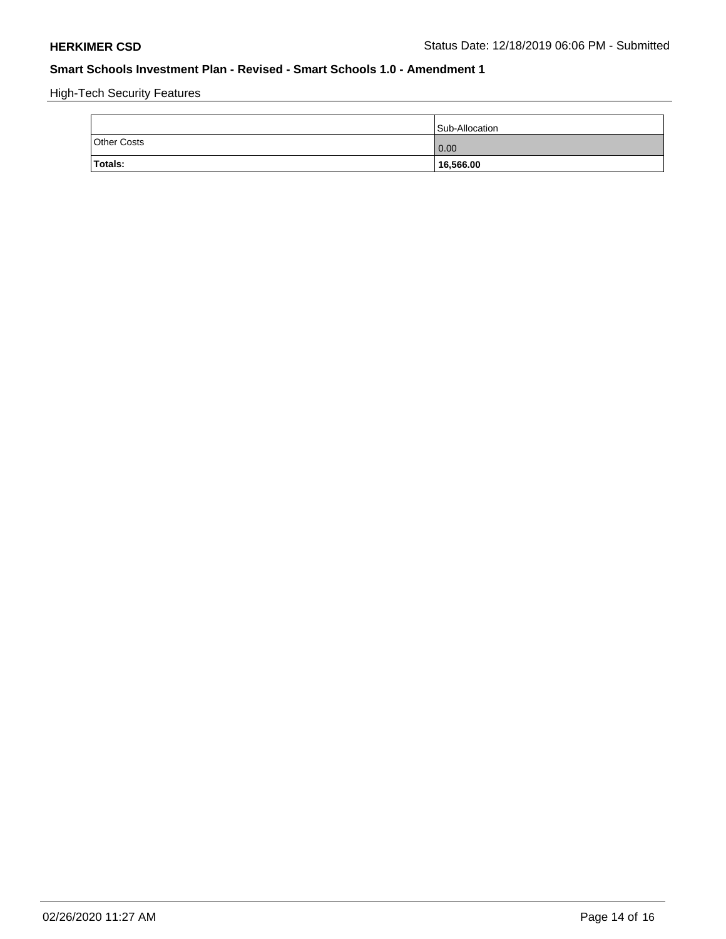High-Tech Security Features

|                    | Sub-Allocation    |
|--------------------|-------------------|
| <b>Other Costs</b> | $\overline{0.00}$ |
| <b>Totals:</b>     | 16,566.00         |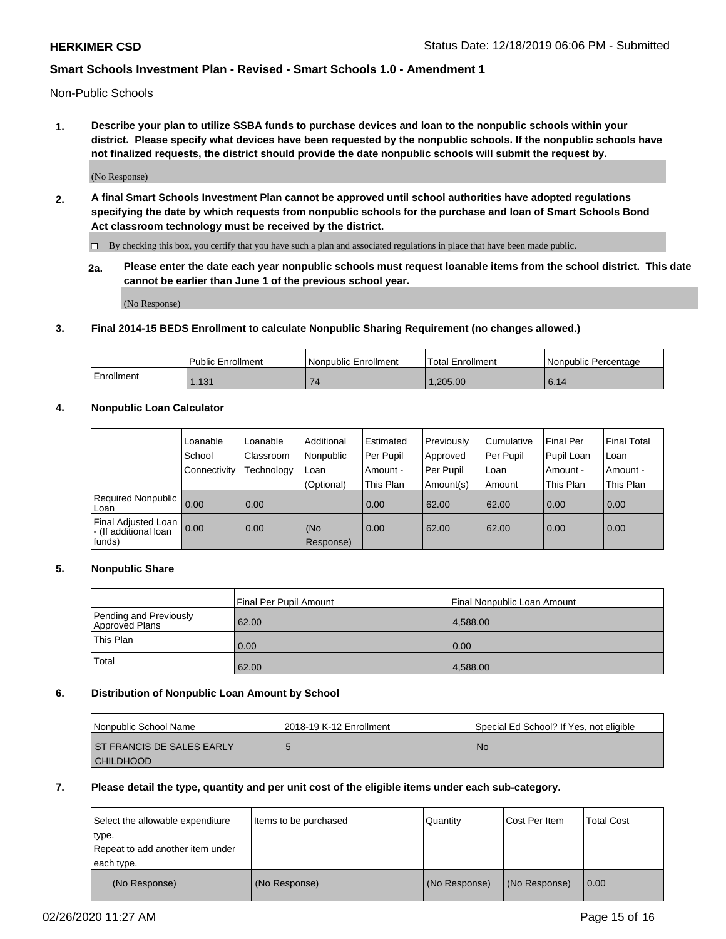Non-Public Schools

**1. Describe your plan to utilize SSBA funds to purchase devices and loan to the nonpublic schools within your district. Please specify what devices have been requested by the nonpublic schools. If the nonpublic schools have not finalized requests, the district should provide the date nonpublic schools will submit the request by.**

(No Response)

**2. A final Smart Schools Investment Plan cannot be approved until school authorities have adopted regulations specifying the date by which requests from nonpublic schools for the purchase and loan of Smart Schools Bond Act classroom technology must be received by the district.**

By checking this box, you certify that you have such a plan and associated regulations in place that have been made public.

**2a. Please enter the date each year nonpublic schools must request loanable items from the school district. This date cannot be earlier than June 1 of the previous school year.**

(No Response)

### **3. Final 2014-15 BEDS Enrollment to calculate Nonpublic Sharing Requirement (no changes allowed.)**

|            | Public Enrollment | Nonpublic Enrollment | Total Enrollment | l Nonpublic Percentage |
|------------|-------------------|----------------------|------------------|------------------------|
| Enrollment | 1,131             |                      | .205.00          | 6.14                   |

### **4. Nonpublic Loan Calculator**

|                                                        | Loanable     | Loanable   | Additional       | Estimated   | Previously | Cumulative | Final Per  | <b>Final Total</b> |
|--------------------------------------------------------|--------------|------------|------------------|-------------|------------|------------|------------|--------------------|
|                                                        | School       | Classroom  | Nonpublic        | l Per Pupil | Approved   | Per Pupil  | Pupil Loan | Loan               |
|                                                        | Connectivity | Technology | Loan             | Amount -    | Per Pupil  | Loan       | Amount -   | Amount -           |
|                                                        |              |            | (Optional)       | This Plan   | Amount(s)  | Amount     | This Plan  | This Plan          |
| Required Nonpublic<br>Loan                             | 0.00         | 0.00       |                  | 0.00        | 62.00      | 62.00      | 0.00       | 0.00               |
| Final Adjusted Loan<br>- (If additional loan<br>funds) | 0.00         | 0.00       | (No<br>Response) | 0.00        | 62.00      | 62.00      | 0.00       | 0.00               |

### **5. Nonpublic Share**

|                                          | Final Per Pupil Amount | Final Nonpublic Loan Amount |
|------------------------------------------|------------------------|-----------------------------|
| Pending and Previously<br>Approved Plans | 62.00                  | 4.588.00                    |
| This Plan                                | 0.00                   | 0.00                        |
| Total                                    | 62.00                  | 4,588.00                    |

### **6. Distribution of Nonpublic Loan Amount by School**

| Nonpublic School Name            | 12018-19 K-12 Enrollment | Special Ed School? If Yes, not eligible |
|----------------------------------|--------------------------|-----------------------------------------|
| <b>ST FRANCIS DE SALES EARLY</b> |                          | No.                                     |
| I CHILDHOOD                      |                          |                                         |

### **7. Please detail the type, quantity and per unit cost of the eligible items under each sub-category.**

| Select the allowable expenditure<br>type.<br>Repeat to add another item under<br>each type. | Items to be purchased | Quantity      | Cost Per Item | <b>Total Cost</b> |
|---------------------------------------------------------------------------------------------|-----------------------|---------------|---------------|-------------------|
| (No Response)                                                                               | (No Response)         | (No Response) | (No Response) | 0.00              |